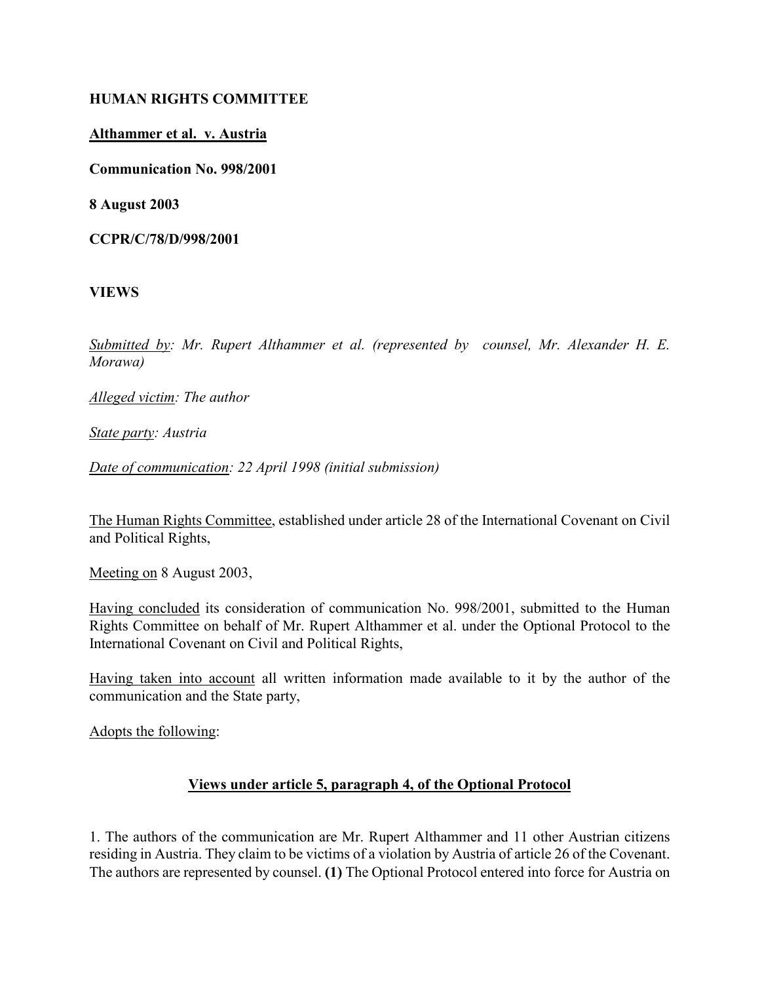### HUMAN RIGHTS COMMITTEE

### Althammer et al. v. Austria

Communication No. 998/2001

8 August 2003

CCPR/C/78/D/998/2001

VIEWS

Submitted by: Mr. Rupert Althammer et al. (represented by counsel, Mr. Alexander H. E. Morawa)

Alleged victim: The author

State party: Austria

Date of communication: 22 April 1998 (initial submission)

The Human Rights Committee, established under article 28 of the International Covenant on Civil and Political Rights,

Meeting on 8 August 2003,

Having concluded its consideration of communication No. 998/2001, submitted to the Human Rights Committee on behalf of Mr. Rupert Althammer et al. under the Optional Protocol to the International Covenant on Civil and Political Rights,

Having taken into account all written information made available to it by the author of the communication and the State party,

Adopts the following:

#### Views under article 5, paragraph 4, of the Optional Protocol

1. The authors of the communication are Mr. Rupert Althammer and 11 other Austrian citizens residing in Austria. They claim to be victims of a violation by Austria of article 26 of the Covenant. The authors are represented by counsel. (1) The Optional Protocol entered into force for Austria on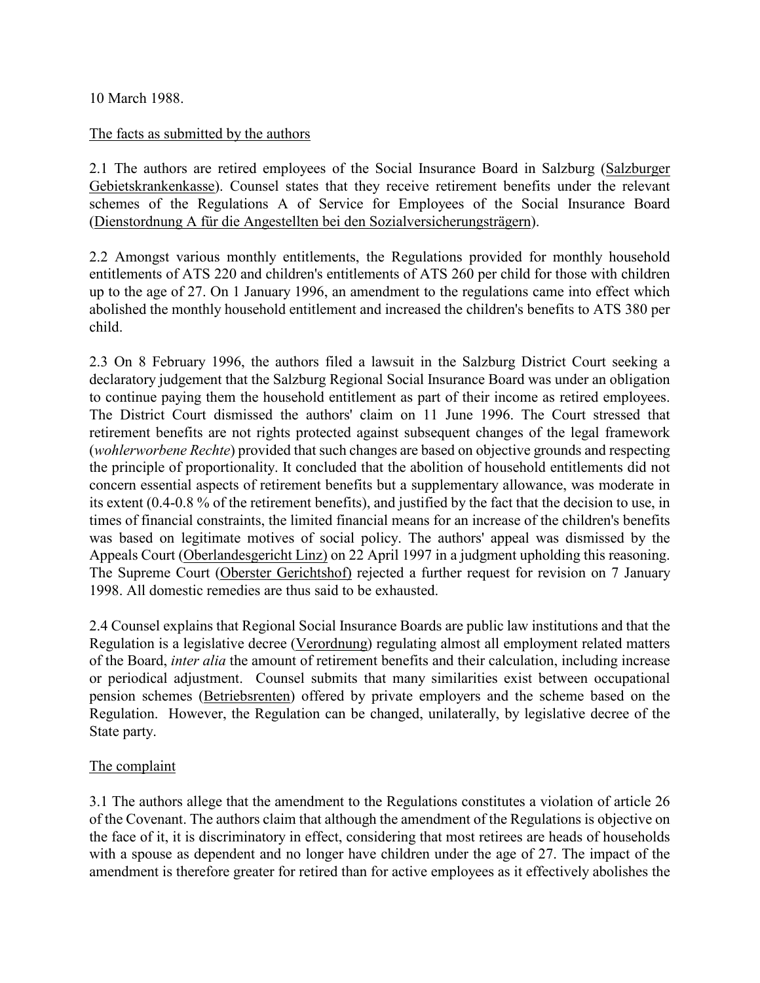10 March 1988.

#### The facts as submitted by the authors

2.1 The authors are retired employees of the Social Insurance Board in Salzburg (Salzburger Gebietskrankenkasse). Counsel states that they receive retirement benefits under the relevant schemes of the Regulations A of Service for Employees of the Social Insurance Board (Dienstordnung A für die Angestellten bei den Sozialversicherungsträgern).

2.2 Amongst various monthly entitlements, the Regulations provided for monthly household entitlements of ATS 220 and children's entitlements of ATS 260 per child for those with children up to the age of 27. On 1 January 1996, an amendment to the regulations came into effect which abolished the monthly household entitlement and increased the children's benefits to ATS 380 per child.

2.3 On 8 February 1996, the authors filed a lawsuit in the Salzburg District Court seeking a declaratory judgement that the Salzburg Regional Social Insurance Board was under an obligation to continue paying them the household entitlement as part of their income as retired employees. The District Court dismissed the authors' claim on 11 June 1996. The Court stressed that retirement benefits are not rights protected against subsequent changes of the legal framework (wohlerworbene Rechte) provided that such changes are based on objective grounds and respecting the principle of proportionality. It concluded that the abolition of household entitlements did not concern essential aspects of retirement benefits but a supplementary allowance, was moderate in its extent (0.4-0.8 % of the retirement benefits), and justified by the fact that the decision to use, in times of financial constraints, the limited financial means for an increase of the children's benefits was based on legitimate motives of social policy. The authors' appeal was dismissed by the Appeals Court (Oberlandesgericht Linz) on 22 April 1997 in a judgment upholding this reasoning. The Supreme Court (Oberster Gerichtshof) rejected a further request for revision on 7 January 1998. All domestic remedies are thus said to be exhausted.

2.4 Counsel explains that Regional Social Insurance Boards are public law institutions and that the Regulation is a legislative decree (Verordnung) regulating almost all employment related matters of the Board, inter alia the amount of retirement benefits and their calculation, including increase or periodical adjustment. Counsel submits that many similarities exist between occupational pension schemes (Betriebsrenten) offered by private employers and the scheme based on the Regulation. However, the Regulation can be changed, unilaterally, by legislative decree of the State party.

## The complaint

3.1 The authors allege that the amendment to the Regulations constitutes a violation of article 26 of the Covenant. The authors claim that although the amendment of the Regulations is objective on the face of it, it is discriminatory in effect, considering that most retirees are heads of households with a spouse as dependent and no longer have children under the age of 27. The impact of the amendment is therefore greater for retired than for active employees as it effectively abolishes the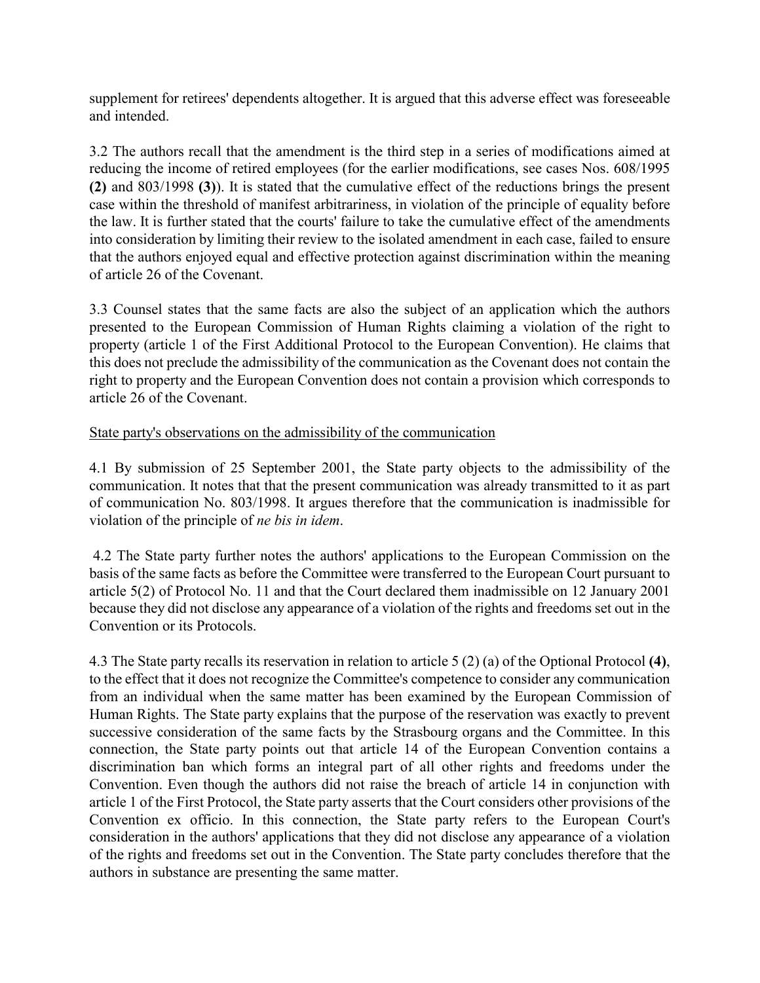supplement for retirees' dependents altogether. It is argued that this adverse effect was foreseeable and intended.

3.2 The authors recall that the amendment is the third step in a series of modifications aimed at reducing the income of retired employees (for the earlier modifications, see cases Nos. 608/1995 (2) and 803/1998 (3)). It is stated that the cumulative effect of the reductions brings the present case within the threshold of manifest arbitrariness, in violation of the principle of equality before the law. It is further stated that the courts' failure to take the cumulative effect of the amendments into consideration by limiting their review to the isolated amendment in each case, failed to ensure that the authors enjoyed equal and effective protection against discrimination within the meaning of article 26 of the Covenant.

3.3 Counsel states that the same facts are also the subject of an application which the authors presented to the European Commission of Human Rights claiming a violation of the right to property (article 1 of the First Additional Protocol to the European Convention). He claims that this does not preclude the admissibility of the communication as the Covenant does not contain the right to property and the European Convention does not contain a provision which corresponds to article 26 of the Covenant.

## State party's observations on the admissibility of the communication

4.1 By submission of 25 September 2001, the State party objects to the admissibility of the communication. It notes that that the present communication was already transmitted to it as part of communication No. 803/1998. It argues therefore that the communication is inadmissible for violation of the principle of ne bis in idem.

 4.2 The State party further notes the authors' applications to the European Commission on the basis of the same facts as before the Committee were transferred to the European Court pursuant to article 5(2) of Protocol No. 11 and that the Court declared them inadmissible on 12 January 2001 because they did not disclose any appearance of a violation of the rights and freedoms set out in the Convention or its Protocols.

4.3 The State party recalls its reservation in relation to article 5 (2) (a) of the Optional Protocol (4), to the effect that it does not recognize the Committee's competence to consider any communication from an individual when the same matter has been examined by the European Commission of Human Rights. The State party explains that the purpose of the reservation was exactly to prevent successive consideration of the same facts by the Strasbourg organs and the Committee. In this connection, the State party points out that article 14 of the European Convention contains a discrimination ban which forms an integral part of all other rights and freedoms under the Convention. Even though the authors did not raise the breach of article 14 in conjunction with article 1 of the First Protocol, the State party asserts that the Court considers other provisions of the Convention ex officio. In this connection, the State party refers to the European Court's consideration in the authors' applications that they did not disclose any appearance of a violation of the rights and freedoms set out in the Convention. The State party concludes therefore that the authors in substance are presenting the same matter.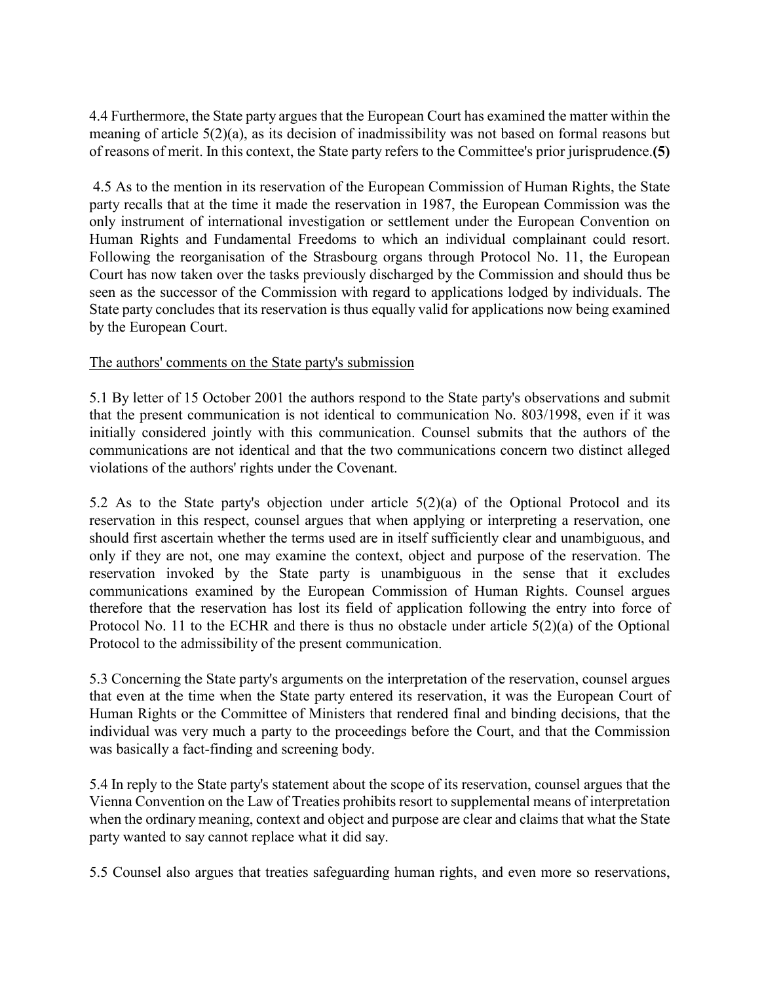4.4 Furthermore, the State party argues that the European Court has examined the matter within the meaning of article 5(2)(a), as its decision of inadmissibility was not based on formal reasons but of reasons of merit. In this context, the State party refers to the Committee's prior jurisprudence.(5)

 4.5 As to the mention in its reservation of the European Commission of Human Rights, the State party recalls that at the time it made the reservation in 1987, the European Commission was the only instrument of international investigation or settlement under the European Convention on Human Rights and Fundamental Freedoms to which an individual complainant could resort. Following the reorganisation of the Strasbourg organs through Protocol No. 11, the European Court has now taken over the tasks previously discharged by the Commission and should thus be seen as the successor of the Commission with regard to applications lodged by individuals. The State party concludes that its reservation is thus equally valid for applications now being examined by the European Court.

## The authors' comments on the State party's submission

5.1 By letter of 15 October 2001 the authors respond to the State party's observations and submit that the present communication is not identical to communication No. 803/1998, even if it was initially considered jointly with this communication. Counsel submits that the authors of the communications are not identical and that the two communications concern two distinct alleged violations of the authors' rights under the Covenant.

5.2 As to the State party's objection under article 5(2)(a) of the Optional Protocol and its reservation in this respect, counsel argues that when applying or interpreting a reservation, one should first ascertain whether the terms used are in itself sufficiently clear and unambiguous, and only if they are not, one may examine the context, object and purpose of the reservation. The reservation invoked by the State party is unambiguous in the sense that it excludes communications examined by the European Commission of Human Rights. Counsel argues therefore that the reservation has lost its field of application following the entry into force of Protocol No. 11 to the ECHR and there is thus no obstacle under article 5(2)(a) of the Optional Protocol to the admissibility of the present communication.

5.3 Concerning the State party's arguments on the interpretation of the reservation, counsel argues that even at the time when the State party entered its reservation, it was the European Court of Human Rights or the Committee of Ministers that rendered final and binding decisions, that the individual was very much a party to the proceedings before the Court, and that the Commission was basically a fact-finding and screening body.

5.4 In reply to the State party's statement about the scope of its reservation, counsel argues that the Vienna Convention on the Law of Treaties prohibits resort to supplemental means of interpretation when the ordinary meaning, context and object and purpose are clear and claims that what the State party wanted to say cannot replace what it did say.

5.5 Counsel also argues that treaties safeguarding human rights, and even more so reservations,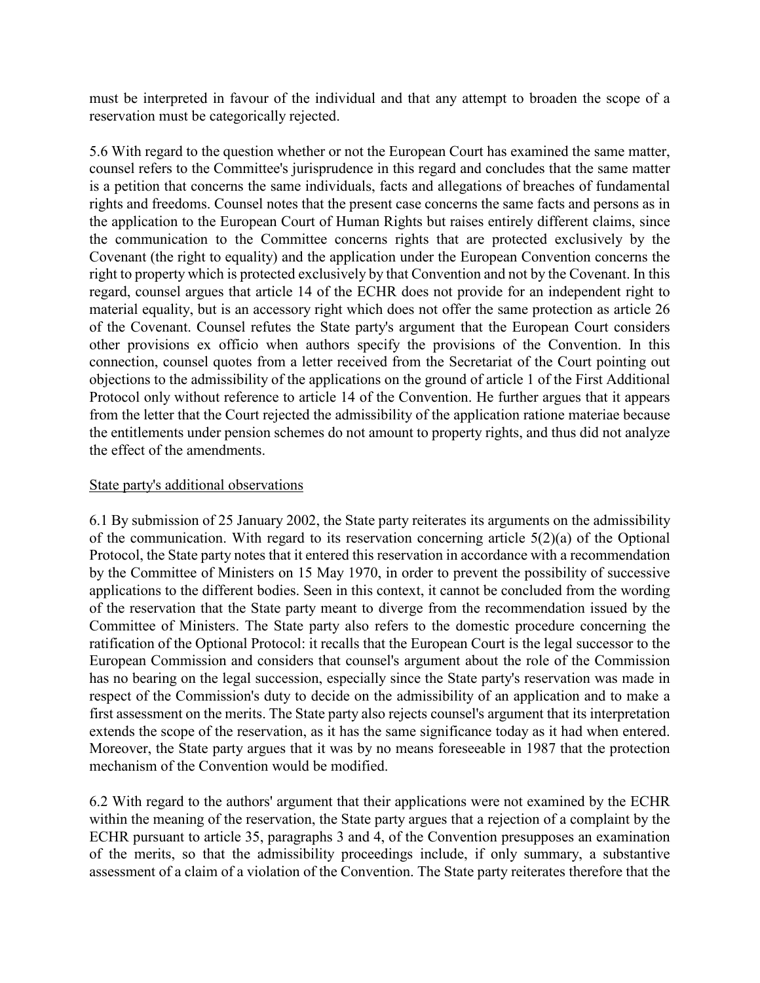must be interpreted in favour of the individual and that any attempt to broaden the scope of a reservation must be categorically rejected.

5.6 With regard to the question whether or not the European Court has examined the same matter, counsel refers to the Committee's jurisprudence in this regard and concludes that the same matter is a petition that concerns the same individuals, facts and allegations of breaches of fundamental rights and freedoms. Counsel notes that the present case concerns the same facts and persons as in the application to the European Court of Human Rights but raises entirely different claims, since the communication to the Committee concerns rights that are protected exclusively by the Covenant (the right to equality) and the application under the European Convention concerns the right to property which is protected exclusively by that Convention and not by the Covenant. In this regard, counsel argues that article 14 of the ECHR does not provide for an independent right to material equality, but is an accessory right which does not offer the same protection as article 26 of the Covenant. Counsel refutes the State party's argument that the European Court considers other provisions ex officio when authors specify the provisions of the Convention. In this connection, counsel quotes from a letter received from the Secretariat of the Court pointing out objections to the admissibility of the applications on the ground of article 1 of the First Additional Protocol only without reference to article 14 of the Convention. He further argues that it appears from the letter that the Court rejected the admissibility of the application ratione materiae because the entitlements under pension schemes do not amount to property rights, and thus did not analyze the effect of the amendments.

#### State party's additional observations

6.1 By submission of 25 January 2002, the State party reiterates its arguments on the admissibility of the communication. With regard to its reservation concerning article 5(2)(a) of the Optional Protocol, the State party notes that it entered this reservation in accordance with a recommendation by the Committee of Ministers on 15 May 1970, in order to prevent the possibility of successive applications to the different bodies. Seen in this context, it cannot be concluded from the wording of the reservation that the State party meant to diverge from the recommendation issued by the Committee of Ministers. The State party also refers to the domestic procedure concerning the ratification of the Optional Protocol: it recalls that the European Court is the legal successor to the European Commission and considers that counsel's argument about the role of the Commission has no bearing on the legal succession, especially since the State party's reservation was made in respect of the Commission's duty to decide on the admissibility of an application and to make a first assessment on the merits. The State party also rejects counsel's argument that its interpretation extends the scope of the reservation, as it has the same significance today as it had when entered. Moreover, the State party argues that it was by no means foreseeable in 1987 that the protection mechanism of the Convention would be modified.

6.2 With regard to the authors' argument that their applications were not examined by the ECHR within the meaning of the reservation, the State party argues that a rejection of a complaint by the ECHR pursuant to article 35, paragraphs 3 and 4, of the Convention presupposes an examination of the merits, so that the admissibility proceedings include, if only summary, a substantive assessment of a claim of a violation of the Convention. The State party reiterates therefore that the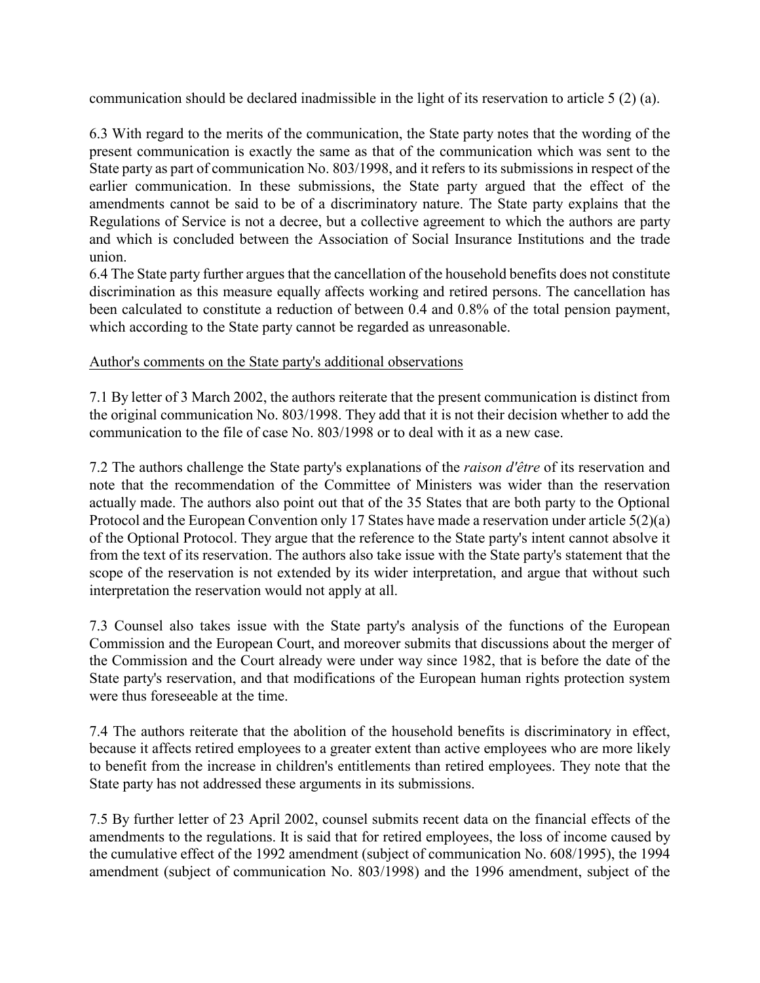communication should be declared inadmissible in the light of its reservation to article 5 (2) (a).

6.3 With regard to the merits of the communication, the State party notes that the wording of the present communication is exactly the same as that of the communication which was sent to the State party as part of communication No. 803/1998, and it refers to its submissions in respect of the earlier communication. In these submissions, the State party argued that the effect of the amendments cannot be said to be of a discriminatory nature. The State party explains that the Regulations of Service is not a decree, but a collective agreement to which the authors are party and which is concluded between the Association of Social Insurance Institutions and the trade union.

6.4 The State party further argues that the cancellation of the household benefits does not constitute discrimination as this measure equally affects working and retired persons. The cancellation has been calculated to constitute a reduction of between 0.4 and 0.8% of the total pension payment, which according to the State party cannot be regarded as unreasonable.

## Author's comments on the State party's additional observations

7.1 By letter of 3 March 2002, the authors reiterate that the present communication is distinct from the original communication No. 803/1998. They add that it is not their decision whether to add the communication to the file of case No. 803/1998 or to deal with it as a new case.

7.2 The authors challenge the State party's explanations of the *raison d'être* of its reservation and note that the recommendation of the Committee of Ministers was wider than the reservation actually made. The authors also point out that of the 35 States that are both party to the Optional Protocol and the European Convention only 17 States have made a reservation under article 5(2)(a) of the Optional Protocol. They argue that the reference to the State party's intent cannot absolve it from the text of its reservation. The authors also take issue with the State party's statement that the scope of the reservation is not extended by its wider interpretation, and argue that without such interpretation the reservation would not apply at all.

7.3 Counsel also takes issue with the State party's analysis of the functions of the European Commission and the European Court, and moreover submits that discussions about the merger of the Commission and the Court already were under way since 1982, that is before the date of the State party's reservation, and that modifications of the European human rights protection system were thus foreseeable at the time.

7.4 The authors reiterate that the abolition of the household benefits is discriminatory in effect, because it affects retired employees to a greater extent than active employees who are more likely to benefit from the increase in children's entitlements than retired employees. They note that the State party has not addressed these arguments in its submissions.

7.5 By further letter of 23 April 2002, counsel submits recent data on the financial effects of the amendments to the regulations. It is said that for retired employees, the loss of income caused by the cumulative effect of the 1992 amendment (subject of communication No. 608/1995), the 1994 amendment (subject of communication No. 803/1998) and the 1996 amendment, subject of the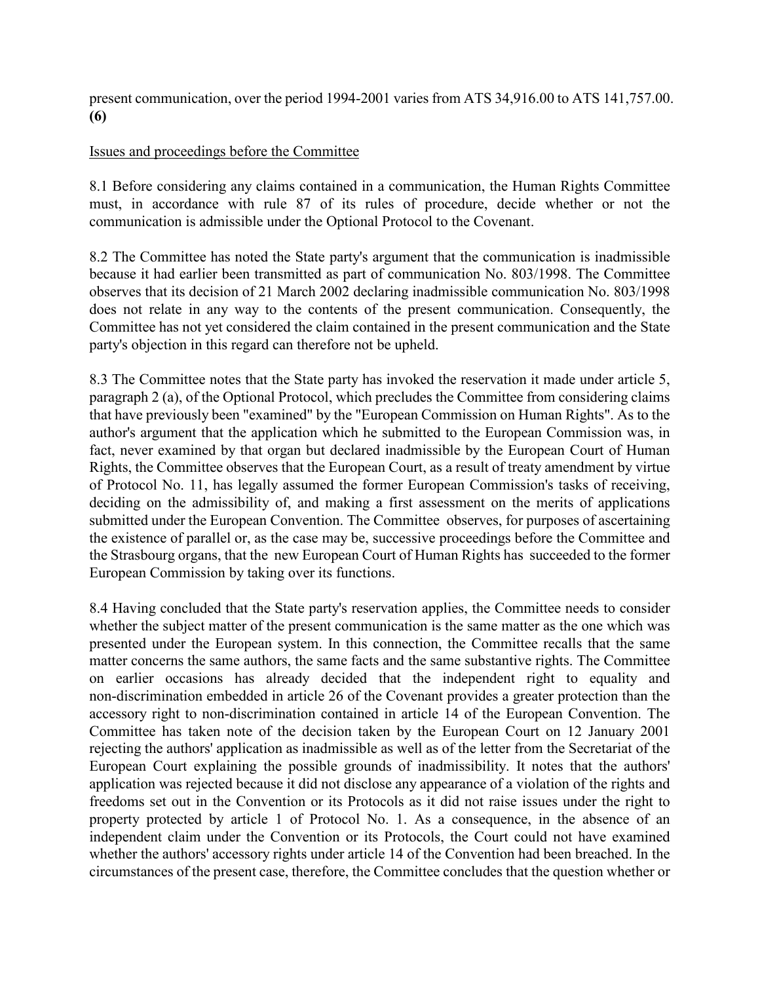present communication, over the period 1994-2001 varies from ATS 34,916.00 to ATS 141,757.00. (6)

### Issues and proceedings before the Committee

8.1 Before considering any claims contained in a communication, the Human Rights Committee must, in accordance with rule 87 of its rules of procedure, decide whether or not the communication is admissible under the Optional Protocol to the Covenant.

8.2 The Committee has noted the State party's argument that the communication is inadmissible because it had earlier been transmitted as part of communication No. 803/1998. The Committee observes that its decision of 21 March 2002 declaring inadmissible communication No. 803/1998 does not relate in any way to the contents of the present communication. Consequently, the Committee has not yet considered the claim contained in the present communication and the State party's objection in this regard can therefore not be upheld.

8.3 The Committee notes that the State party has invoked the reservation it made under article 5, paragraph 2 (a), of the Optional Protocol, which precludes the Committee from considering claims that have previously been "examined" by the "European Commission on Human Rights". As to the author's argument that the application which he submitted to the European Commission was, in fact, never examined by that organ but declared inadmissible by the European Court of Human Rights, the Committee observes that the European Court, as a result of treaty amendment by virtue of Protocol No. 11, has legally assumed the former European Commission's tasks of receiving, deciding on the admissibility of, and making a first assessment on the merits of applications submitted under the European Convention. The Committee observes, for purposes of ascertaining the existence of parallel or, as the case may be, successive proceedings before the Committee and the Strasbourg organs, that the new European Court of Human Rights has succeeded to the former European Commission by taking over its functions.

8.4 Having concluded that the State party's reservation applies, the Committee needs to consider whether the subject matter of the present communication is the same matter as the one which was presented under the European system. In this connection, the Committee recalls that the same matter concerns the same authors, the same facts and the same substantive rights. The Committee on earlier occasions has already decided that the independent right to equality and non-discrimination embedded in article 26 of the Covenant provides a greater protection than the accessory right to non-discrimination contained in article 14 of the European Convention. The Committee has taken note of the decision taken by the European Court on 12 January 2001 rejecting the authors' application as inadmissible as well as of the letter from the Secretariat of the European Court explaining the possible grounds of inadmissibility. It notes that the authors' application was rejected because it did not disclose any appearance of a violation of the rights and freedoms set out in the Convention or its Protocols as it did not raise issues under the right to property protected by article 1 of Protocol No. 1. As a consequence, in the absence of an independent claim under the Convention or its Protocols, the Court could not have examined whether the authors' accessory rights under article 14 of the Convention had been breached. In the circumstances of the present case, therefore, the Committee concludes that the question whether or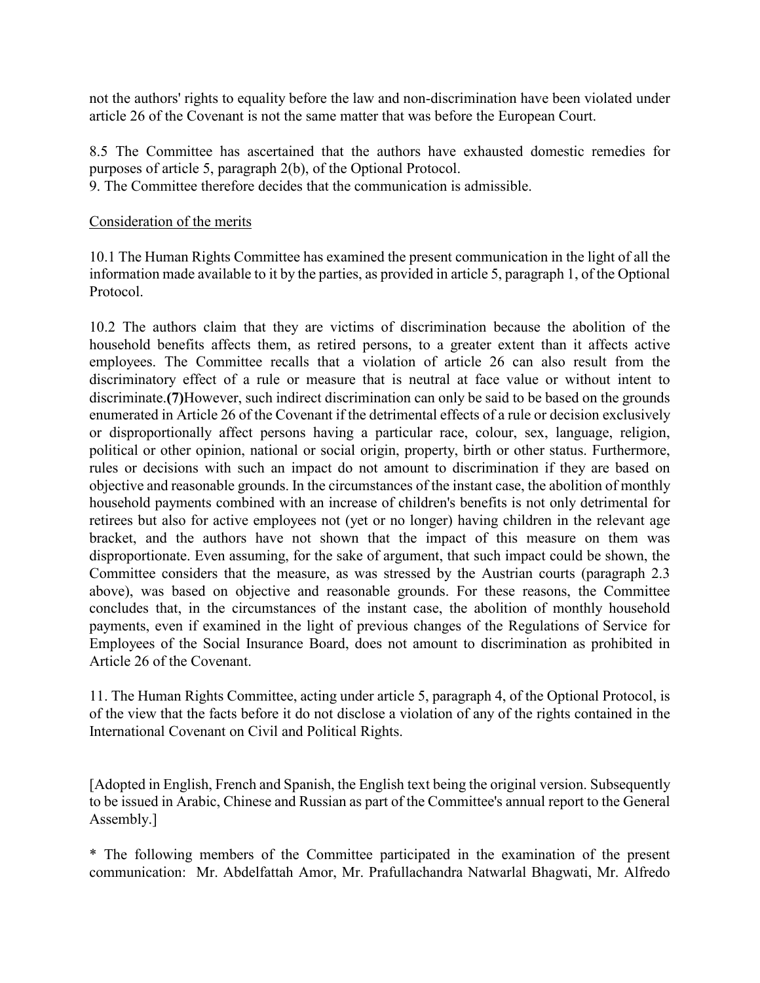not the authors' rights to equality before the law and non-discrimination have been violated under article 26 of the Covenant is not the same matter that was before the European Court.

8.5 The Committee has ascertained that the authors have exhausted domestic remedies for purposes of article 5, paragraph 2(b), of the Optional Protocol.

9. The Committee therefore decides that the communication is admissible.

#### Consideration of the merits

10.1 The Human Rights Committee has examined the present communication in the light of all the information made available to it by the parties, as provided in article 5, paragraph 1, of the Optional Protocol.

10.2 The authors claim that they are victims of discrimination because the abolition of the household benefits affects them, as retired persons, to a greater extent than it affects active employees. The Committee recalls that a violation of article 26 can also result from the discriminatory effect of a rule or measure that is neutral at face value or without intent to discriminate.(7)However, such indirect discrimination can only be said to be based on the grounds enumerated in Article 26 of the Covenant if the detrimental effects of a rule or decision exclusively or disproportionally affect persons having a particular race, colour, sex, language, religion, political or other opinion, national or social origin, property, birth or other status. Furthermore, rules or decisions with such an impact do not amount to discrimination if they are based on objective and reasonable grounds. In the circumstances of the instant case, the abolition of monthly household payments combined with an increase of children's benefits is not only detrimental for retirees but also for active employees not (yet or no longer) having children in the relevant age bracket, and the authors have not shown that the impact of this measure on them was disproportionate. Even assuming, for the sake of argument, that such impact could be shown, the Committee considers that the measure, as was stressed by the Austrian courts (paragraph 2.3 above), was based on objective and reasonable grounds. For these reasons, the Committee concludes that, in the circumstances of the instant case, the abolition of monthly household payments, even if examined in the light of previous changes of the Regulations of Service for Employees of the Social Insurance Board, does not amount to discrimination as prohibited in Article 26 of the Covenant.

11. The Human Rights Committee, acting under article 5, paragraph 4, of the Optional Protocol, is of the view that the facts before it do not disclose a violation of any of the rights contained in the International Covenant on Civil and Political Rights.

[Adopted in English, French and Spanish, the English text being the original version. Subsequently to be issued in Arabic, Chinese and Russian as part of the Committee's annual report to the General Assembly.]

\* The following members of the Committee participated in the examination of the present communication: Mr. Abdelfattah Amor, Mr. Prafullachandra Natwarlal Bhagwati, Mr. Alfredo